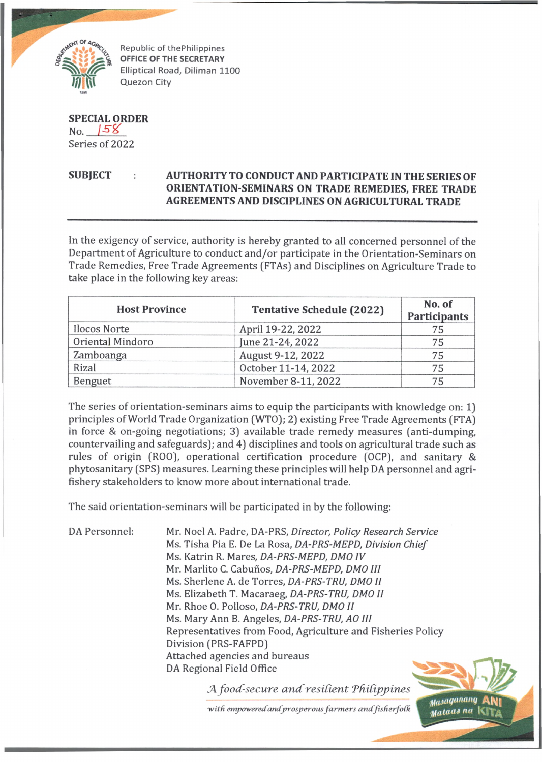

Republic of thePhilippines OFFICE OF THE SECRETARY Elliptical Road, Diliman 1100 Quezon City

**SPECIAL ORDER**  $No.$   $|58$ Series of 2022

## **SUBJECT AUTHORITY TO CONDUCT AND PARTICIPATE IN THE SERIES OF ORIENTATION-SEMINARS ON TRADE REMEDIES, FREE TRADE AGREEMENTS AND DISCIPLINES ON AGRICULTURAL TRADE**

In the exigency of service, authority is hereby granted to all concerned personnel of the Department of Agriculture to conduct and/or participate in the Orientation-Seminars on Trade Remedies, Free Trade Agreements (FTAs) and Disciplines on Agriculture Trade to take place in the following key areas:

| <b>Host Province</b> | <b>Tentative Schedule (2022)</b> | No. of<br><b>Participants</b> |
|----------------------|----------------------------------|-------------------------------|
| <b>Ilocos Norte</b>  | April 19-22, 2022                | 75                            |
| Oriental Mindoro     | June 21-24, 2022                 | 75                            |
| Zamboanga            | August 9-12, 2022                | 75                            |
| Rizal                | October 11-14, 2022              | 75                            |
| Benguet              | November 8-11, 2022              | 75                            |

The series of orientation-seminars aims to equip the participants with knowledge on: 1) principles of World Trade Organization (WTO); 2) existing Free Trade Agreements (FTA) in force & on-going negotiations; 3) available trade remedy measures (anti-dumping, countervailing and safeguards); and 4) disciplines and tools on agricultural trade such as rules of origin (R00), operational certification procedure (OCP), and sanitary & phytosanitary (SPS) measures. Learning these principles will help DA personnel and agrifishery stakeholders to know more about international trade.

The said orientation-seminars will be participated in by the following:

DA Personnel: Mr. Noel A. Padre, DA-PRS, *Director, Policy Research Service* Ms. Tisha Pia E. De La Rosa, *DA-PRS-MEPD, Division Chief* Ms. Katrin R. Mares, DA-PRS-MEPD, DMO IV Mr. Marlito C. Cabunos, *DA-PRS-MEPD, DMO III* Ms. Sherlene A. de Torres, *DA-PRS-TRU, DMO II* Ms. Elizabeth T. Macaraeg, *DA-PRS-TRU, DMO II* Mr. Rhoe 0. Polloso, *DA-PRS-TRU, DMO II* Ms. Mary Ann B. Angeles, *DA-PRS-TRU, AO III* Representatives from Food, Agriculture and Fisheries Policy Division (PRS-FAFPD) Attached agencies and bureaus DA Regional Field Office

*food-secure ancCresident TfiiCipjovnes*

with empowered and prosperous farmers and fisherfolk<br>**Washington Contract and the Contract of the Contract of the Contract of the Contract of the Contract of the Contract of the Contract of the Contract of the Contract of**